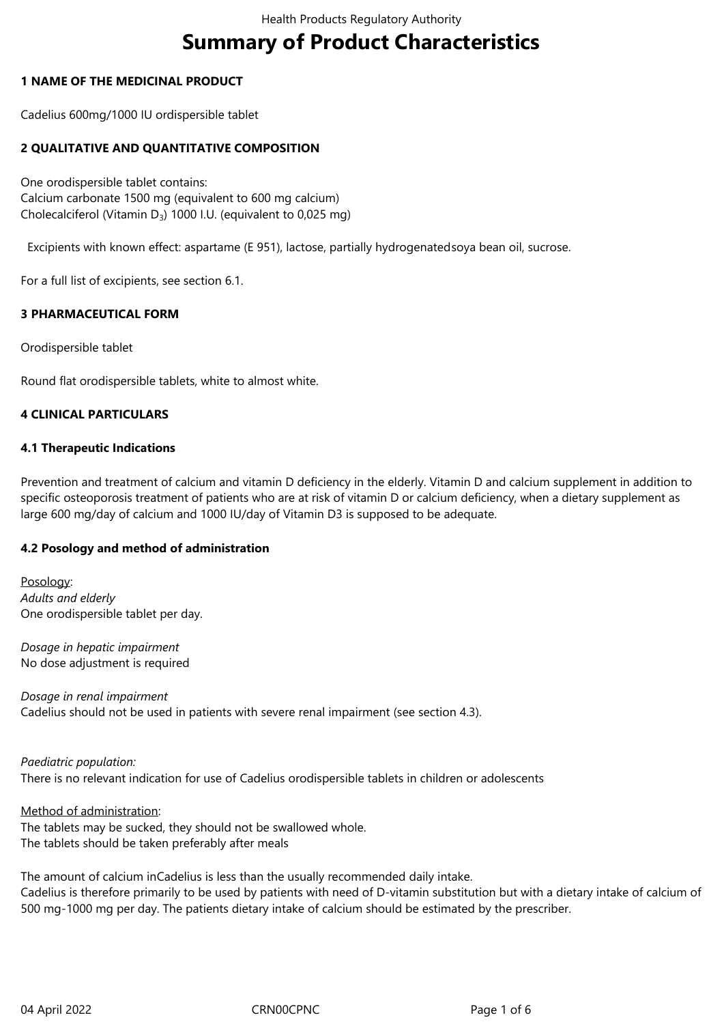# **Summary of Product Characteristics**

## **1 NAME OF THE MEDICINAL PRODUCT**

Cadelius 600mg/1000 IU ordispersible tablet

# **2 QUALITATIVE AND QUANTITATIVE COMPOSITION**

One orodispersible tablet contains: Calcium carbonate 1500 mg (equivalent to 600 mg calcium) Cholecalciferol (Vitamin D<sub>3</sub>) 1000 I.U. (equivalent to 0,025 mg)

Excipients with known effect: aspartame (E 951), lactose, partially hydrogenatedsoya bean oil, sucrose.

For a full list of excipients, see section 6.1.

## **3 PHARMACEUTICAL FORM**

Orodispersible tablet

Round flat orodispersible tablets, white to almost white.

## **4 CLINICAL PARTICULARS**

## **4.1 Therapeutic Indications**

Prevention and treatment of calcium and vitamin D deficiency in the elderly. Vitamin D and calcium supplement in addition to specific osteoporosis treatment of patients who are at risk of vitamin D or calcium deficiency, when a dietary supplement as large 600 mg/day of calcium and 1000 IU/day of Vitamin D3 is supposed to be adequate.

## **4.2 Posology and method of administration**

Posology: *Adults and elderly* One orodispersible tablet per day.

*Dosage in hepatic impairment* No dose adjustment is required

*Dosage in renal impairment* Cadelius should not be used in patients with severe renal impairment (see section 4.3).

## *Paediatric population:* There is no relevant indication for use of Cadelius orodispersible tablets in children or adolescents

Method of administration:

The tablets may be sucked, they should not be swallowed whole. The tablets should be taken preferably after meals

The amount of calcium inCadelius is less than the usually recommended daily intake. Cadelius is therefore primarily to be used by patients with need of D-vitamin substitution but with a dietary intake of calcium of 500 mg-1000 mg per day. The patients dietary intake of calcium should be estimated by the prescriber.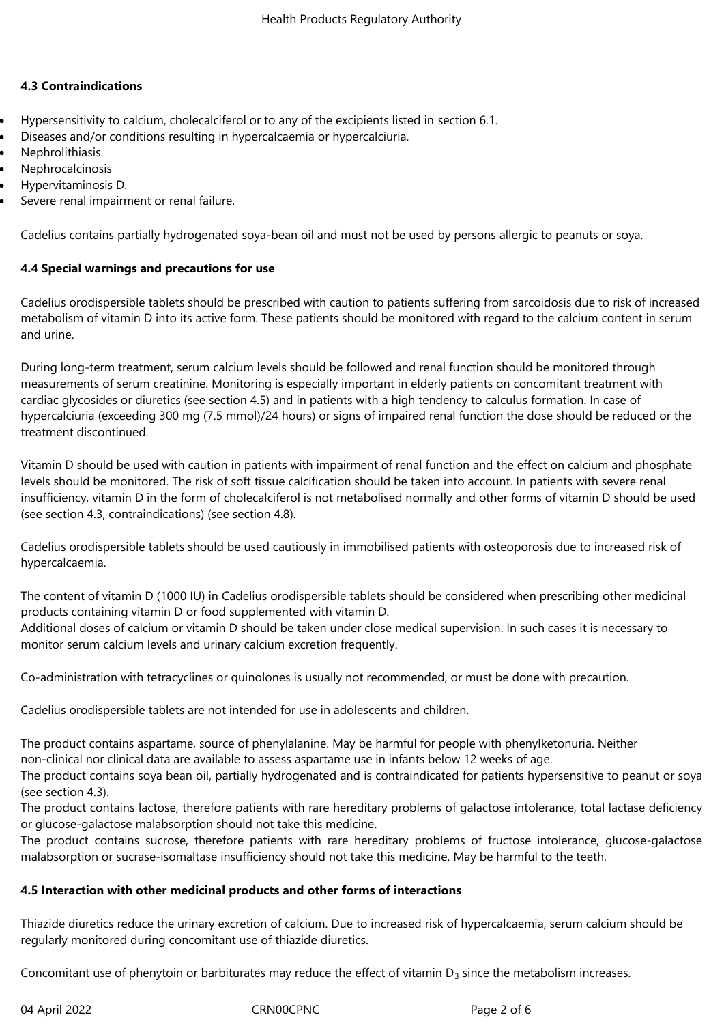## **4.3 Contraindications**

- Hypersensitivity to calcium, cholecalciferol or to any of the excipients listed in section 6.1.
- Diseases and/or conditions resulting in hypercalcaemia or hypercalciuria.
- Nephrolithiasis.
- Nephrocalcinosis
- Hypervitaminosis D.
- Severe renal impairment or renal failure.

Cadelius contains partially hydrogenated soya-bean oil and must not be used by persons allergic to peanuts or soya.

## **4.4 Special warnings and precautions for use**

Cadelius orodispersible tablets should be prescribed with caution to patients suffering from sarcoidosis due to risk of increased metabolism of vitamin D into its active form. These patients should be monitored with regard to the calcium content in serum and urine.

During long-term treatment, serum calcium levels should be followed and renal function should be monitored through measurements of serum creatinine. Monitoring is especially important in elderly patients on concomitant treatment with cardiac glycosides or diuretics (see section 4.5) and in patients with a high tendency to calculus formation. In case of hypercalciuria (exceeding 300 mg (7.5 mmol)/24 hours) or signs of impaired renal function the dose should be reduced or the treatment discontinued.

Vitamin D should be used with caution in patients with impairment of renal function and the effect on calcium and phosphate levels should be monitored. The risk of soft tissue calcification should be taken into account. In patients with severe renal insufficiency, vitamin D in the form of cholecalciferol is not metabolised normally and other forms of vitamin D should be used (see section 4.3, contraindications) (see section 4.8).

Cadelius orodispersible tablets should be used cautiously in immobilised patients with osteoporosis due to increased risk of hypercalcaemia.

The content of vitamin D (1000 IU) in Cadelius orodispersible tablets should be considered when prescribing other medicinal products containing vitamin D or food supplemented with vitamin D.

Additional doses of calcium or vitamin D should be taken under close medical supervision. In such cases it is necessary to monitor serum calcium levels and urinary calcium excretion frequently.

Co-administration with tetracyclines or quinolones is usually not recommended, or must be done with precaution.

Cadelius orodispersible tablets are not intended for use in adolescents and children.

The product contains aspartame, source of phenylalanine. May be harmful for people with phenylketonuria. Neither non-clinical nor clinical data are available to assess aspartame use in infants below 12 weeks of age.

The product contains soya bean oil, partially hydrogenated and is contraindicated for patients hypersensitive to peanut or soya (see section 4.3).

The product contains lactose, therefore patients with rare hereditary problems of galactose intolerance, total lactase deficiency or glucose-galactose malabsorption should not take this medicine.

The product contains sucrose, therefore patients with rare hereditary problems of fructose intolerance, glucose-galactose malabsorption or sucrase-isomaltase insufficiency should not take this medicine. May be harmful to the teeth.

## **4.5 Interaction with other medicinal products and other forms of interactions**

Thiazide diuretics reduce the urinary excretion of calcium. Due to increased risk of hypercalcaemia, serum calcium should be regularly monitored during concomitant use of thiazide diuretics.

Concomitant use of phenytoin or barbiturates may reduce the effect of vitamin  $D_3$  since the metabolism increases.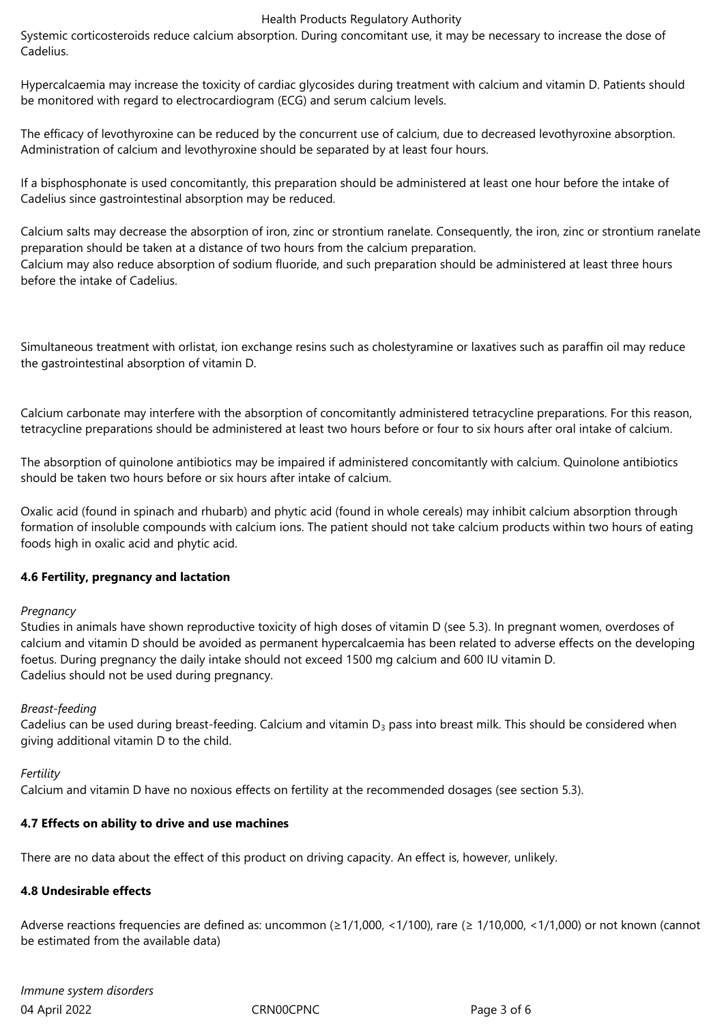#### Health Products Regulatory Authority

Systemic corticosteroids reduce calcium absorption. During concomitant use, it may be necessary to increase the dose of Cadelius.

Hypercalcaemia may increase the toxicity of cardiac glycosides during treatment with calcium and vitamin D. Patients should be monitored with regard to electrocardiogram (ECG) and serum calcium levels.

The efficacy of levothyroxine can be reduced by the concurrent use of calcium, due to decreased levothyroxine absorption. Administration of calcium and levothyroxine should be separated by at least four hours.

If a bisphosphonate is used concomitantly, this preparation should be administered at least one hour before the intake of Cadelius since gastrointestinal absorption may be reduced.

Calcium salts may decrease the absorption of iron, zinc or strontium ranelate. Consequently, the iron, zinc or strontium ranelate preparation should be taken at a distance of two hours from the calcium preparation. Calcium may also reduce absorption of sodium fluoride, and such preparation should be administered at least three hours before the intake of Cadelius.

Simultaneous treatment with orlistat, ion exchange resins such as cholestyramine or laxatives such as paraffin oil may reduce the gastrointestinal absorption of vitamin D.

Calcium carbonate may interfere with the absorption of concomitantly administered tetracycline preparations. For this reason, tetracycline preparations should be administered at least two hours before or four to six hours after oral intake of calcium.

The absorption of quinolone antibiotics may be impaired if administered concomitantly with calcium. Quinolone antibiotics should be taken two hours before or six hours after intake of calcium.

Oxalic acid (found in spinach and rhubarb) and phytic acid (found in whole cereals) may inhibit calcium absorption through formation of insoluble compounds with calcium ions. The patient should not take calcium products within two hours of eating foods high in oxalic acid and phytic acid.

## **4.6 Fertility, pregnancy and lactation**

## *Pregnancy*

Studies in animals have shown reproductive toxicity of high doses of vitamin D (see 5.3). In pregnant women, overdoses of calcium and vitamin D should be avoided as permanent hypercalcaemia has been related to adverse effects on the developing foetus. During pregnancy the daily intake should not exceed 1500 mg calcium and 600 IU vitamin D. Cadelius should not be used during pregnancy.

## *Breast-feeding*

Cadelius can be used during breast-feeding. Calcium and vitamin  $D_3$  pass into breast milk. This should be considered when giving additional vitamin D to the child.

## *Fertility*

Calcium and vitamin D have no noxious effects on fertility at the recommended dosages (see section 5.3).

# **4.7 Effects on ability to drive and use machines**

There are no data about the effect of this product on driving capacity. An effect is, however, unlikely.

## **4.8 Undesirable effects**

Adverse reactions frequencies are defined as: uncommon (≥1/1,000, <1/100), rare (≥ 1/10,000, <1/1,000) or not known (cannot be estimated from the available data)

04 April 2022 CRN00CPNC Page 3 of 6 *Immune system disorders*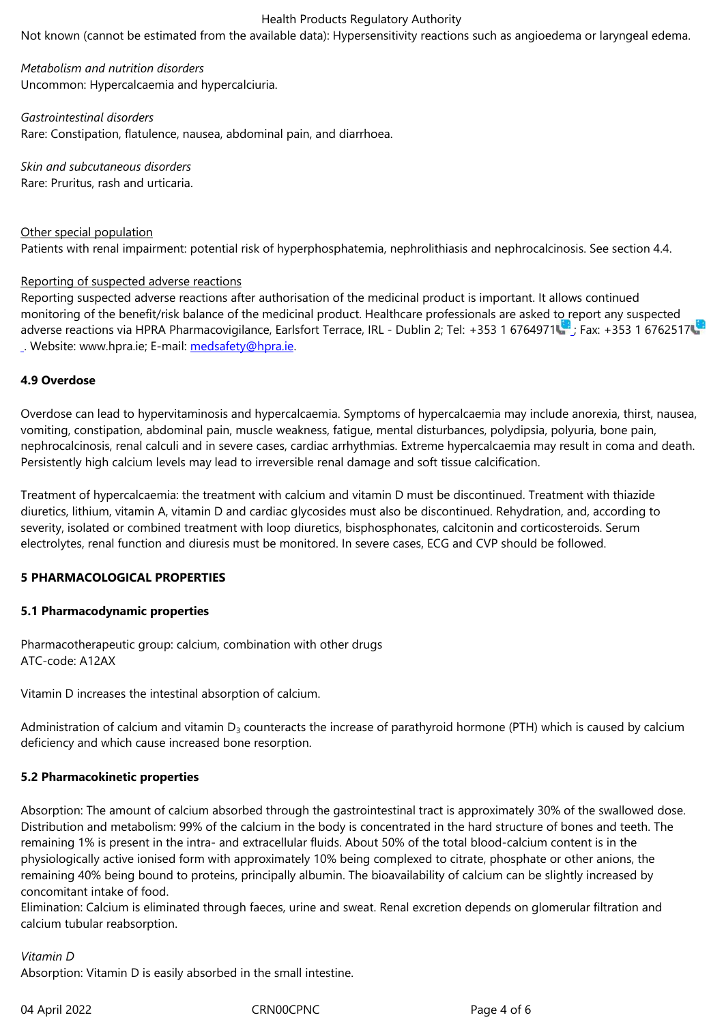*Metabolism and nutrition disorders* Uncommon: Hypercalcaemia and hypercalciuria.

*Gastrointestinal disorders* Rare: Constipation, flatulence, nausea, abdominal pain, and diarrhoea.

*Skin and subcutaneous disorders* Rare: Pruritus, rash and urticaria.

# Other special population

Patients with renal impairment: potential risk of hyperphosphatemia, nephrolithiasis and nephrocalcinosis. See section 4.4.

## Reporting of suspected adverse reactions

Reporting suspected adverse reactions after authorisation of the medicinal product is important. It allows continued monitoring of the benefit/risk balance of the medicinal product. Healthcare professionals are asked to report any suspected adverse reactions via HPRA Pharmacovigilance, Earlsfort Terrace, IRL - Dublin 2; Tel: +353 1 6764971 ; Fax: +353 1 6762517 . Website: www.hpra.ie; E-mail: medsafety@hpra.ie.

# **4.9 Overdose**

Overdose can lead to hypervita[minosis and hyperca](mailto:medsafety@hpra.ie)lcaemia. Symptoms of hypercalcaemia may include anorexia, thirst, nausea, vomiting, constipation, abdominal pain, muscle weakness, fatigue, mental disturbances, polydipsia, polyuria, bone pain, nephrocalcinosis, renal calculi and in severe cases, cardiac arrhythmias. Extreme hypercalcaemia may result in coma and death. Persistently high calcium levels may lead to irreversible renal damage and soft tissue calcification.

Treatment of hypercalcaemia: the treatment with calcium and vitamin D must be discontinued. Treatment with thiazide diuretics, lithium, vitamin A, vitamin D and cardiac glycosides must also be discontinued. Rehydration, and, according to severity, isolated or combined treatment with loop diuretics, bisphosphonates, calcitonin and corticosteroids. Serum electrolytes, renal function and diuresis must be monitored. In severe cases, ECG and CVP should be followed.

## **5 PHARMACOLOGICAL PROPERTIES**

## **5.1 Pharmacodynamic properties**

Pharmacotherapeutic group: calcium, combination with other drugs ATC-code: A12AX

Vitamin D increases the intestinal absorption of calcium.

Administration of calcium and vitamin  $D_3$  counteracts the increase of parathyroid hormone (PTH) which is caused by calcium deficiency and which cause increased bone resorption.

# **5.2 Pharmacokinetic properties**

Absorption: The amount of calcium absorbed through the gastrointestinal tract is approximately 30% of the swallowed dose. Distribution and metabolism: 99% of the calcium in the body is concentrated in the hard structure of bones and teeth. The remaining 1% is present in the intra- and extracellular fluids. About 50% of the total blood-calcium content is in the physiologically active ionised form with approximately 10% being complexed to citrate, phosphate or other anions, the remaining 40% being bound to proteins, principally albumin. The bioavailability of calcium can be slightly increased by concomitant intake of food.

Elimination: Calcium is eliminated through faeces, urine and sweat. Renal excretion depends on glomerular filtration and calcium tubular reabsorption.

# *Vitamin D*

Absorption: Vitamin D is easily absorbed in the small intestine.

04 April 2022 CRN00CPNC CROSSET CRNO2CPNC Page 4 of 6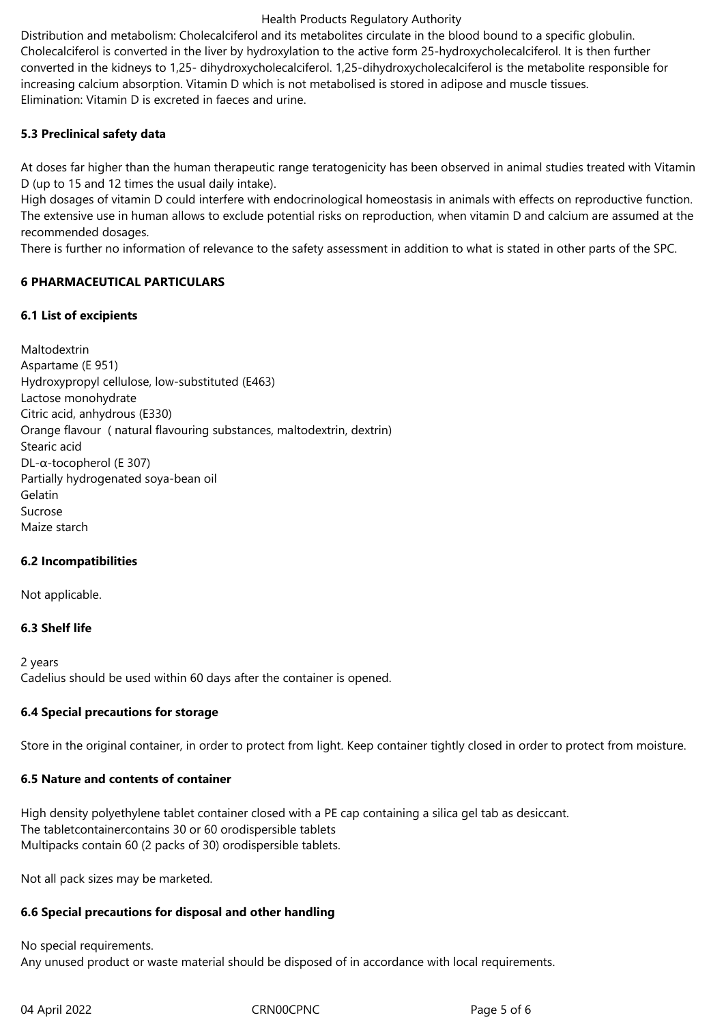#### Health Products Regulatory Authority

Distribution and metabolism: Cholecalciferol and its metabolites circulate in the blood bound to a specific globulin. Cholecalciferol is converted in the liver by hydroxylation to the active form 25-hydroxycholecalciferol. It is then further converted in the kidneys to 1,25- dihydroxycholecalciferol. 1,25-dihydroxycholecalciferol is the metabolite responsible for increasing calcium absorption. Vitamin D which is not metabolised is stored in adipose and muscle tissues. Elimination: Vitamin D is excreted in faeces and urine.

## **5.3 Preclinical safety data**

At doses far higher than the human therapeutic range teratogenicity has been observed in animal studies treated with Vitamin D (up to 15 and 12 times the usual daily intake).

High dosages of vitamin D could interfere with endocrinological homeostasis in animals with effects on reproductive function. The extensive use in human allows to exclude potential risks on reproduction, when vitamin D and calcium are assumed at the recommended dosages.

There is further no information of relevance to the safety assessment in addition to what is stated in other parts of the SPC.

## **6 PHARMACEUTICAL PARTICULARS**

## **6.1 List of excipients**

Maltodextrin Aspartame (E 951) Hydroxypropyl cellulose, low-substituted (E463) Lactose monohydrate Citric acid, anhydrous (E330) Orange flavour ( natural flavouring substances, maltodextrin, dextrin) Stearic acid DL-α-tocopherol (E 307) Partially hydrogenated soya-bean oil Gelatin Sucrose Maize starch

# **6.2 Incompatibilities**

Not applicable.

# **6.3 Shelf life**

2 years Cadelius should be used within 60 days after the container is opened.

# **6.4 Special precautions for storage**

Store in the original container, in order to protect from light. Keep container tightly closed in order to protect from moisture.

# **6.5 Nature and contents of container**

High density polyethylene tablet container closed with a PE cap containing a silica gel tab as desiccant. The tabletcontainercontains 30 or 60 orodispersible tablets Multipacks contain 60 (2 packs of 30) orodispersible tablets.

Not all pack sizes may be marketed.

# **6.6 Special precautions for disposal and other handling**

No special requirements. Any unused product or waste material should be disposed of in accordance with local requirements.